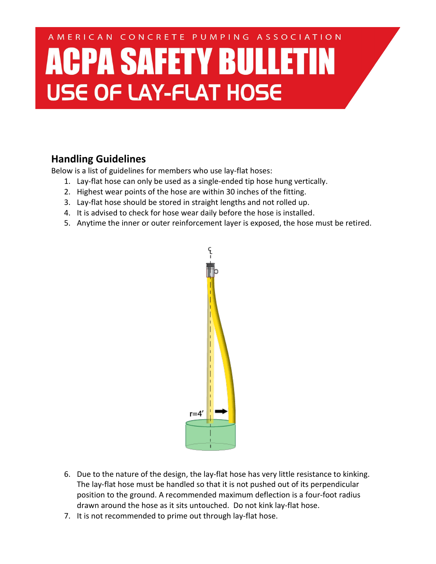## AMERICAN CONCRETE PUMPING ASSOCIATION **ACPA SAFETY BULLETIN USE OF LAY-FLAT HOSE**

## **Handling Guidelines**

Below is a list of guidelines for members who use lay-flat hoses:

- 1. Lay-flat hose can only be used as a single-ended tip hose hung vertically.
- 2. Highest wear points of the hose are within 30 inches of the fitting.
- 3. Lay-flat hose should be stored in straight lengths and not rolled up.
- 4. It is advised to check for hose wear daily before the hose is installed.
- 5. Anytime the inner or outer reinforcement layer is exposed, the hose must be retired.



- 6. Due to the nature of the design, the lay-flat hose has very little resistance to kinking. The lay-flat hose must be handled so that it is not pushed out of its perpendicular position to the ground. A recommended maximum deflection is a four-foot radius drawn around the hose as it sits untouched. Do not kink lay-flat hose.
- 7. It is not recommended to prime out through lay-flat hose.